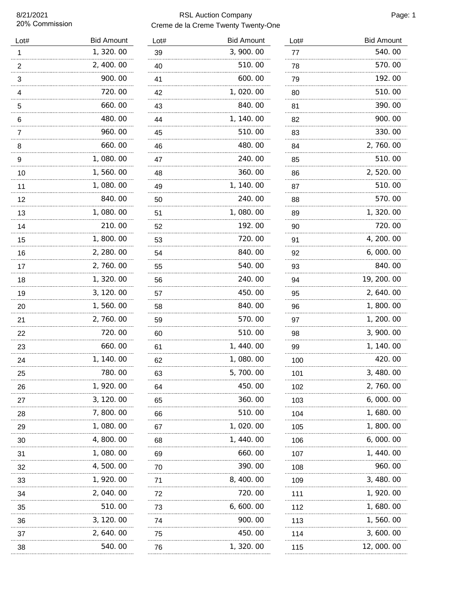8/21/2021 20% Commission

## RSL Auction Company **Page: 1** Creme de la Creme Twenty Twenty-One

| Lot# | <b>Bid Amount</b> | Lo             |
|------|-------------------|----------------|
| 1    | 1,320.00          | 39             |
| 2    | 2, 400.00         | 40             |
| 3    | 900.00            | 4 <sup>′</sup> |
| 4    | 720.00            | 42             |
| 5    | 660.00            | 43             |
| 6    | 480.00            | 44             |
| 7    | 960.00            | 45             |
| 8    | 660.00            | 46             |
| 9    | 1,080.00          | 47             |
| 10   | 1,560.00          | 48             |
| 11   | 1,080.00          | 49             |
| 12   | 840.00            | 50             |
| 13   | 1,080.00          | 5 <sup>′</sup> |
| 14   | 210.00            | 52             |
| 15   | 1,800.00          | 53             |
| 16   | 2, 280.00         | 54             |
| 17   | 2,760.00          | 55             |
| 18   | 1,320.00          | 56             |
| 19   | 3, 120.00         | 57             |
| 20   | 1,560.00          | 58             |
| 21   | 2,760.00          | 59             |
| 22   | 720.00            | 60             |
| 23   | 660.00            | 6 <sup>′</sup> |
| 24   | 1, 140.00         | 62             |
| 25   | 780.00            | 63             |
| 26   | 1, 920.00         | 64             |
| 27   | 3, 120.00         | 65             |
| 28   | 7,800.00          | 66             |
| 29   | 1,080.00          | 67             |
| 30   | 4,800.00<br>      | 68             |
| 31   | 1,080.00          | 69             |
| 32   | 4,500.00          | 70             |
| 33   | 1, 920.00         | 7'             |
| 34   | 2,040.00          | 72             |
| 35   | 510.00            | 73             |
| 36   | 3, 120.00         | 74             |
| 37   | 2, 640. 00        | 75             |
| 38   | 540.00            | 76             |
|      |                   |                |

| Lot#    | <b>Bid Amount</b> |
|---------|-------------------|
| 39      | 3,900.00          |
| 40      | 510.00            |
| 41      | 600.00            |
| 42      | 1,020.00          |
| 43      | 840.00            |
| 44      | 1, 140.00         |
| 45      | 510.00            |
| 46      | 480.00            |
| 47      | 240.00            |
| 48      | 360.00            |
| 49      | 1, 140.00         |
| 50      | 240.00            |
| 51      | 1,080.00          |
| 52      | 192.00            |
| 53      | 720.00            |
| 54      | 840.00            |
| 55      | 540.00            |
| 56      | 240.00            |
| 57      | 450.00            |
| 58      | 840.00            |
| 59      | 570.00            |
| 60      | 510.00            |
| 61      | 1, 440. 00        |
| 62      | 1,080.00          |
| 63      | 5,<br>700.00      |
| 64      | 450.00            |
| 65      | 360.00            |
| 66<br>. | 510.00            |
| 67      | 1, 020. 00        |
| 68      | 1, 440.00         |
| 69      | 660.00            |
| 70      | 390.00            |
| 71      | 8, 400. 00        |
| 72      | 720. 00           |
| 73      | 6, 600. 00        |
| 74      | 900.00            |
| 75      | 450.00            |
| 76      | 1, 320. 00        |

| Lot#     | <b>Bid Amount</b> |
|----------|-------------------|
| 77       | 540.00            |
| 78       | 570. 00           |
| 79       | 192.00            |
| 80       | 510.00            |
| 81       | 390.00            |
| 82       | 900. 00           |
| 83       | 330.00            |
| 84       | 2,760.00          |
| 85       | 510.00            |
| 86       | 2,520.00          |
| 87       | 510. 00           |
| 88       | 570.00            |
| 89       | 1,320.00          |
| 90       | 720.00            |
| 91       | 4, 200. 00        |
| 92       | 6,000.00          |
| 93       | 840.00            |
| 94       | 19, 200. 00       |
| 95       | 2, 640.00         |
| 96       | 1, 800. 00        |
| 97       | 1, 200. 00        |
| 98       | 3, 900. 00        |
| 99       | 1, 140.00         |
| 100      | 420.00            |
| 101      | 3,480.00          |
| 102<br>. | 2,760.00          |
| 103      | 6,000.00          |
| 104      | 1,680.00          |
| 105      | 1,800.00          |
| 106      | 6,000.00          |
| 107      | 1, 440.00         |
| 108<br>. | 960.00            |
| 109<br>. | 3,480.00          |
| 111      | 1, 920. 00        |
| 112<br>. | 1, 680. 00        |
| 113<br>. | 1,560.00          |
| 114      | 3, 600. 00        |
| 115      | 12, 000. 00       |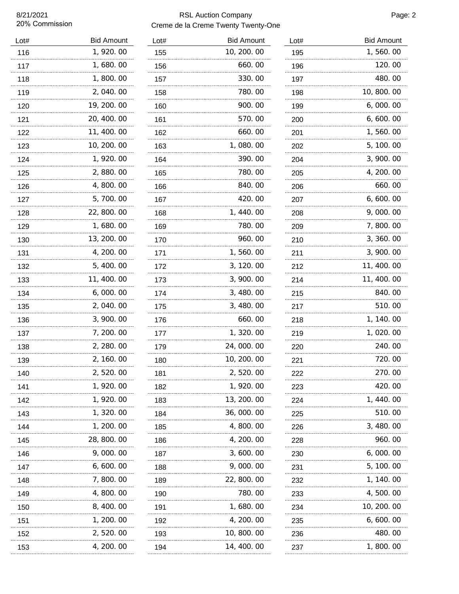8/21/2021 20% Commission

## RSL Auction Company **Page: 2** Creme de la Creme Twenty Twenty-One

| Lot#     | <b>Bid Amount</b> |
|----------|-------------------|
| 116      | 1,920.00          |
| 117      | 1,680.00          |
| 118      | 1,800.00          |
| 119      | 2,040.00          |
| 120      | 19, 200. 00       |
| 121      | 20, 400. 00       |
| 122      | 11, 400. 00       |
| 123      | 10, 200. 00       |
| 124      | 1, 920.00         |
| 125      | 2, 880. 00        |
| 126      | 4,800.00          |
| 127      | 5,700.00          |
| 128      | 22, 800. 00       |
| 129      | 1, 680. 00        |
| 130      | 13, 200. 00       |
| 131      | 4, 200. 00        |
| 132      | 5, 400. 00        |
| 133      | 11, 400. 00       |
| 134      | 6,000.00          |
| 135      | 2,040.00          |
| 136      | 3, 900. 00        |
| 137      | 7, 200. 00        |
| 138      | 2, 280. 00        |
| 139      | 2, 160. 00        |
| 140      | 2, 520. 00        |
| 141      | 1,920.00          |
| 142<br>. | 1, 920. 00        |
| 143<br>. | 1,320.00          |
| 144<br>. | 1, 200. 00        |
| 145      | 28, 800. 00       |
| 146<br>. | 9,000.00          |
| 147      | 6,600.00          |
| 148<br>. | 7,800.00          |
| 149      | 4,800.00          |
| 150<br>. | 8,400.00          |
| 151      | 1, 200. 00        |
| 152      | 2,520.00          |
| 153      | 4, 200. 00        |
|          |                   |

| Lot#     | <b>Bid Amount</b> |
|----------|-------------------|
| 155      | 10, 200. 00       |
| 156      | 660.00            |
| 157      | 330.00            |
| 158      | 780.00            |
| 160      | 900.00            |
| 161      | 570.00            |
| 162      | 660.00            |
| 163      | 1,080.00          |
| 164      | 390.00            |
| 165      | 780.00            |
| 166      | 840.00            |
| 167      | 420.00            |
| 168      | 1, 440.00         |
| 169      | 780.00            |
| 170      | 960.00            |
| 171      | 1,560.00          |
| 172      | 3, 120.00         |
| 173      | 3,900.00          |
| 174      | 3,480.00          |
| 175      | 3,480.00          |
| 176      | 660.00            |
| 177      | 1, 320.00         |
| 179      | 24,000.00         |
| 180      | 10, 200. 00       |
| 181      | 2, 520. UU        |
| 182      | 1,920.00          |
| 183      | 13, 200. 00       |
| 184      | 36,000.00         |
| 185<br>. | 4,800.00          |
| 186      | 4, 200. 00        |
| 187      | 3,600.00          |
| 188      | 9,000.00          |
| 189      | 22, 800.00        |
| 190      | 780. 00           |
| 191      | 1, 680. 00        |
| 192      | 4, 200. 00        |
| 193      | 10, 800. 00       |
| 194      | 14, 400. 00       |

| Lot#     | <b>Bid Amount</b> |
|----------|-------------------|
| 195      | 1,560.00          |
| 196      | 120.00            |
| 197      | 480.00            |
| 198<br>. | 10, 800. 00       |
| 199      | 6,000.00          |
| 200      | 6,600.00          |
| 201      | 1,560.00          |
| 202      | 5, 100. 00        |
| 204      | 3,900.00          |
| 205      | 4, 200. 00        |
| 206      | 660.00            |
| 207      | 6, 600. 00        |
| 208      | 9,000.00          |
| 209      | 7,800.00          |
| 210      | 3, 360.00         |
| 211      | 3,900.00          |
| 212      | 11, 400. 00       |
| 214      | 11, 400. 00       |
| 215      | 840. 00           |
| 217      | 510.00            |
| 218      | 1, 140. 00        |
| 219      | 1, 020. 00        |
| 220      | 240.00            |
| 221      | 720. 00           |
| 222      | 270.00            |
| 223      | 420.00            |
| 224      | 1, 440, 00        |
| 225      | 510. 00           |
| 226<br>. | 3,480.00          |
| 228      | 960. 00           |
| 230      | 6, 000. 00        |
| 231      | 5, 100. 00        |
| 232<br>. | 1, 140.00         |
| 233      | 4,500.00          |
| 234      | 10, 200. 00       |
| 235      | 6, 600. 00        |
| 236      | 480.00            |
| 237      | 1,800.00          |